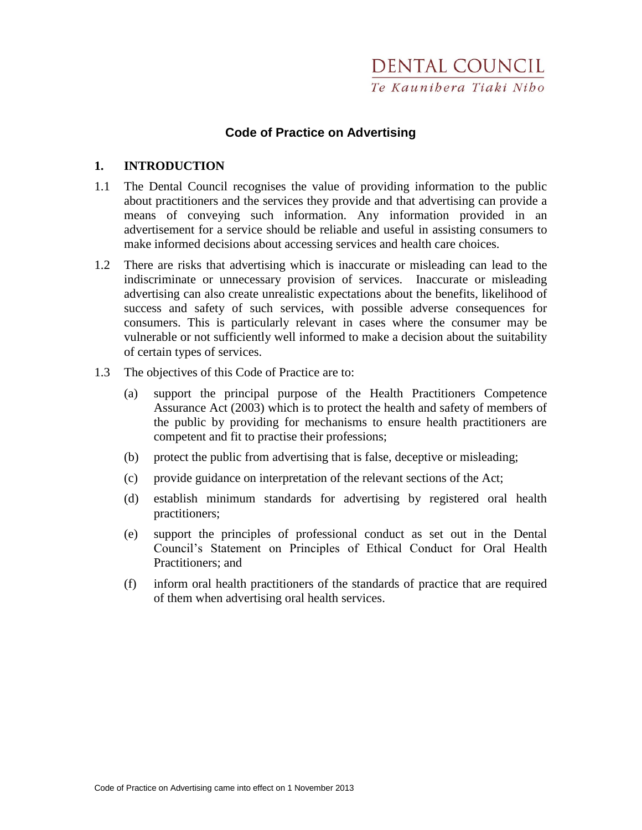# **Code of Practice on Advertising**

#### **1. INTRODUCTION**

- 1.1 The Dental Council recognises the value of providing information to the public about practitioners and the services they provide and that advertising can provide a means of conveying such information. Any information provided in an advertisement for a service should be reliable and useful in assisting consumers to make informed decisions about accessing services and health care choices.
- 1.2 There are risks that advertising which is inaccurate or misleading can lead to the indiscriminate or unnecessary provision of services. Inaccurate or misleading advertising can also create unrealistic expectations about the benefits, likelihood of success and safety of such services, with possible adverse consequences for consumers. This is particularly relevant in cases where the consumer may be vulnerable or not sufficiently well informed to make a decision about the suitability of certain types of services.
- 1.3 The objectives of this Code of Practice are to:
	- (a) support the principal purpose of the Health Practitioners Competence Assurance Act (2003) which is to protect the health and safety of members of the public by providing for mechanisms to ensure health practitioners are competent and fit to practise their professions;
	- (b) protect the public from advertising that is false, deceptive or misleading;
	- (c) provide guidance on interpretation of the relevant sections of the Act;
	- (d) establish minimum standards for advertising by registered oral health practitioners;
	- (e) support the principles of professional conduct as set out in the Dental Council's Statement on Principles of Ethical Conduct for Oral Health Practitioners; and
	- (f) inform oral health practitioners of the standards of practice that are required of them when advertising oral health services.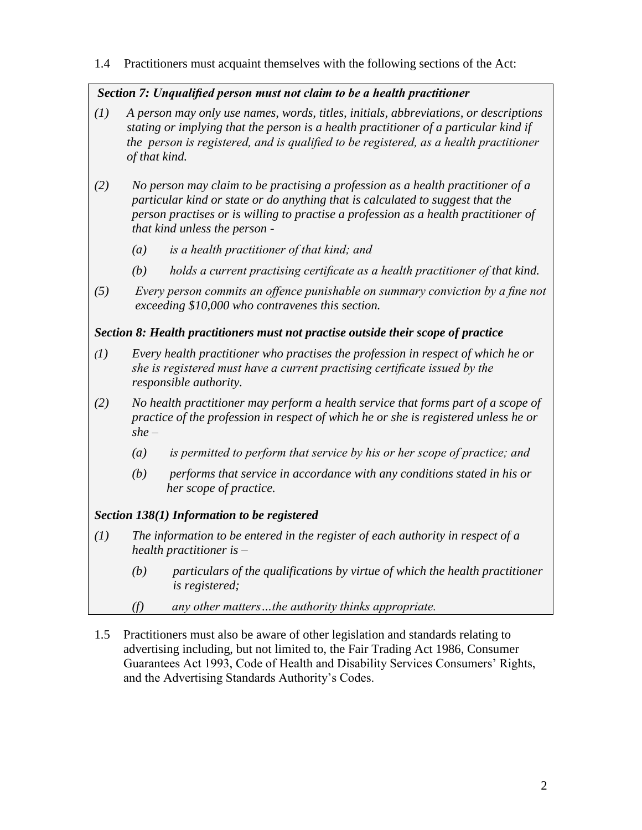# 1.4 Practitioners must acquaint themselves with the following sections of the Act:

# *Section 7: Unqualified person must not claim to be a health practitioner*

- *(1) A person may only use names, words, titles, initials, abbreviations, or descriptions stating or implying that the person is a health practitioner of a particular kind if the person is registered, and is qualified to be registered, as a health practitioner of that kind.*
- *(2) No person may claim to be practising a profession as a health practitioner of a particular kind or state or do anything that is calculated to suggest that the person practises or is willing to practise a profession as a health practitioner of that kind unless the person -* 
	- *(a) is a health practitioner of that kind; and*
	- *(b) holds a current practising certificate as a health practitioner of that kind.*
- *(5) Every person commits an offence punishable on summary conviction by a fine not exceeding \$10,000 who contravenes this section.*

# *Section 8: Health practitioners must not practise outside their scope of practice*

- *(1) Every health practitioner who practises the profession in respect of which he or she is registered must have a current practising certificate issued by the responsible authority.*
- *(2) No health practitioner may perform a health service that forms part of a scope of practice of the profession in respect of which he or she is registered unless he or she –*
	- *(a) is permitted to perform that service by his or her scope of practice; and*
	- *(b) performs that service in accordance with any conditions stated in his or her scope of practice.*

# *Section 138(1) Information to be registered*

- *(1) The information to be entered in the register of each authority in respect of a health practitioner is –*
	- *(b) particulars of the qualifications by virtue of which the health practitioner is registered;*
	- *(f) any other matters…the authority thinks appropriate.*
- 1.5 Practitioners must also be aware of other legislation and standards relating to advertising including, but not limited to, the Fair Trading Act 1986, Consumer Guarantees Act 1993, Code of Health and Disability Services Consumers' Rights, and the Advertising Standards Authority's Codes.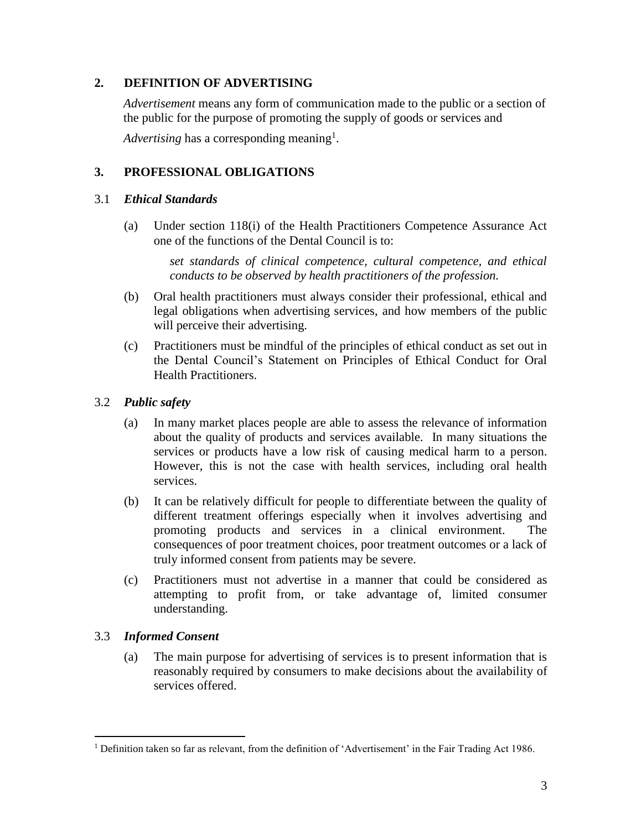### **2. DEFINITION OF ADVERTISING**

*Advertisement* means any form of communication made to the public or a section of the public for the purpose of promoting the supply of goods or services and

Advertising has a corresponding meaning<sup>1</sup>.

### **3. PROFESSIONAL OBLIGATIONS**

#### 3.1 *Ethical Standards*

(a) Under section 118(i) of the Health Practitioners Competence Assurance Act one of the functions of the Dental Council is to:

> *set standards of clinical competence, cultural competence, and ethical conducts to be observed by health practitioners of the profession.*

- (b) Oral health practitioners must always consider their professional, ethical and legal obligations when advertising services, and how members of the public will perceive their advertising.
- (c) Practitioners must be mindful of the principles of ethical conduct as set out in the Dental Council's Statement on Principles of Ethical Conduct for Oral Health Practitioners.

#### 3.2 *Public safety*

- (a) In many market places people are able to assess the relevance of information about the quality of products and services available. In many situations the services or products have a low risk of causing medical harm to a person. However, this is not the case with health services, including oral health services.
- (b) It can be relatively difficult for people to differentiate between the quality of different treatment offerings especially when it involves advertising and promoting products and services in a clinical environment. The consequences of poor treatment choices, poor treatment outcomes or a lack of truly informed consent from patients may be severe.
- (c) Practitioners must not advertise in a manner that could be considered as attempting to profit from, or take advantage of, limited consumer understanding.

#### 3.3 *Informed Consent*

 $\overline{a}$ 

(a) The main purpose for advertising of services is to present information that is reasonably required by consumers to make decisions about the availability of services offered.

<sup>1</sup> Definition taken so far as relevant, from the definition of 'Advertisement' in the Fair Trading Act 1986.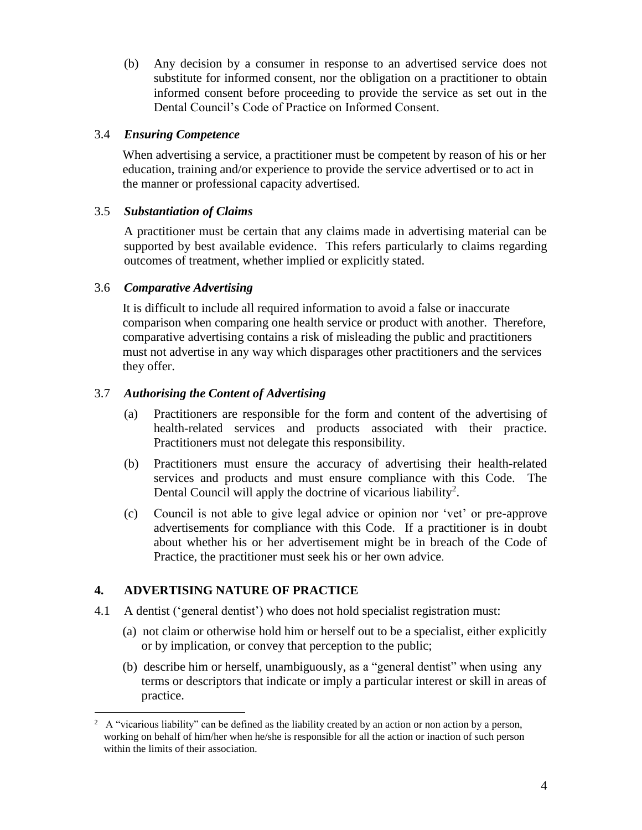(b) Any decision by a consumer in response to an advertised service does not substitute for informed consent, nor the obligation on a practitioner to obtain informed consent before proceeding to provide the service as set out in the Dental Council's Code of Practice on Informed Consent.

### 3.4 *Ensuring Competence*

When advertising a service, a practitioner must be competent by reason of his or her education, training and/or experience to provide the service advertised or to act in the manner or professional capacity advertised.

### 3.5 *Substantiation of Claims*

A practitioner must be certain that any claims made in advertising material can be supported by best available evidence. This refers particularly to claims regarding outcomes of treatment, whether implied or explicitly stated.

### 3.6 *Comparative Advertising*

It is difficult to include all required information to avoid a false or inaccurate comparison when comparing one health service or product with another. Therefore, comparative advertising contains a risk of misleading the public and practitioners must not advertise in any way which disparages other practitioners and the services they offer.

### 3.7 *Authorising the Content of Advertising*

- (a) Practitioners are responsible for the form and content of the advertising of health-related services and products associated with their practice. Practitioners must not delegate this responsibility.
- (b) Practitioners must ensure the accuracy of advertising their health-related services and products and must ensure compliance with this Code. The Dental Council will apply the doctrine of vicarious liability<sup>2</sup>.
- (c) Council is not able to give legal advice or opinion nor 'vet' or pre-approve advertisements for compliance with this Code. If a practitioner is in doubt about whether his or her advertisement might be in breach of the Code of Practice, the practitioner must seek his or her own advice.

## **4. ADVERTISING NATURE OF PRACTICE**

- 4.1 A dentist ('general dentist') who does not hold specialist registration must:
	- (a) not claim or otherwise hold him or herself out to be a specialist, either explicitly or by implication, or convey that perception to the public;
	- (b) describe him or herself, unambiguously, as a "general dentist" when using any terms or descriptors that indicate or imply a particular interest or skill in areas of practice.

 $\overline{a}$  $2 \text{ A}$  "vicarious liability" can be defined as the liability created by an action or non action by a person, working on behalf of him/her when he/she is responsible for all the action or inaction of such person within the limits of their association.